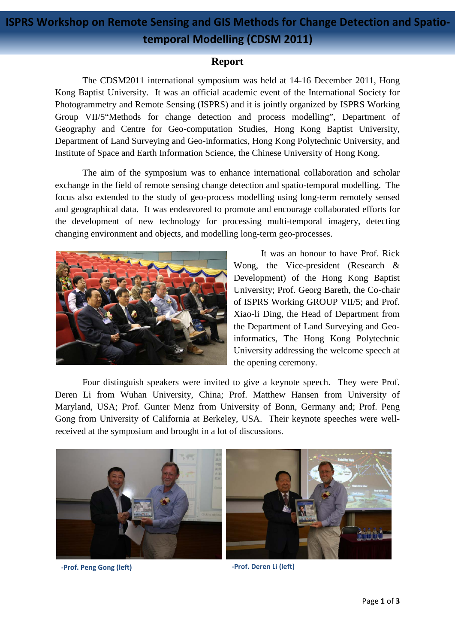## **ISPRS Workshop on Remote Sensing and GIS Methods for Change Detection and Spatiotemporal Modelling (CDSM 2011)**

## **Report**

The CDSM2011 international symposium was held at 14-16 December 2011, Hong Kong Baptist University. It was an official academic event of the International Society for Photogrammetry and Remote Sensing (ISPRS) and it is jointly organized by ISPRS Working Group VII/5"Methods for change detection and process modelling", Department of Geography and Centre for Geo-computation Studies, Hong Kong Baptist University, Department of Land Surveying and Geo-informatics, Hong Kong Polytechnic University, and Institute of Space and Earth Information Science, the Chinese University of Hong Kong.

The aim of the symposium was to enhance international collaboration and scholar exchange in the field of remote sensing change detection and spatio-temporal modelling. The focus also extended to the study of geo-process modelling using long-term remotely sensed and geographical data. It was endeavored to promote and encourage collaborated efforts for the development of new technology for processing multi-temporal imagery, detecting changing environment and objects, and modelling long-term geo-processes.



It was an honour to have Prof. Rick Wong, the Vice-president (Research & Development) of the Hong Kong Baptist University; Prof. Georg Bareth, the Co-chair of ISPRS Working GROUP VII/5; and Prof. Xiao-li Ding, the Head of Department from the Department of Land Surveying and Geoinformatics, The Hong Kong Polytechnic University addressing the welcome speech at the opening ceremony.

Four distinguish speakers were invited to give a keynote speech. They were Prof. Deren Li from Wuhan University, China; Prof. Matthew Hansen from University of Maryland, USA; Prof. Gunter Menz from University of Bonn, Germany and; Prof. Peng Gong from University of California at Berkeley, USA. Their keynote speeches were wellreceived at the symposium and brought in a lot of discussions.



**-Prof. Peng Gong (left) -Prof. Deren Li (left)**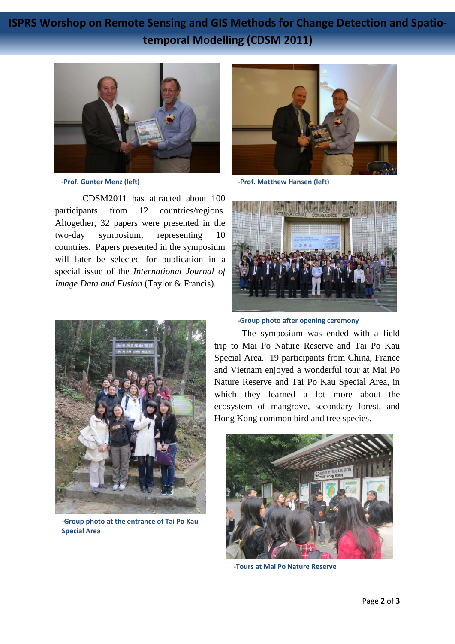**ISPRS Worshop on Remote Sensing and GIS Methods for Change Detection and Spatiotemporal Modelling (CDSM 2011)**



CDSM2011 has attracted about 100 participants from 12 countries/regions. Altogether, 32 papers were presented in the two-day symposium, representing 10 countries. Papers presented in the symposium will later be selected for publication in a special issue of the *International Journal of Image Data and Fusion* (Taylor & Francis).



**-Group photo at the entrance of Tai Po Kau Special Area**



**-Prof. Gunter Menz (left) -Prof. Matthew Hansen (left)**



**-Group photo after opening ceremony**

The symposium was ended with a field trip to Mai Po Nature Reserve and Tai Po Kau Special Area. 19 participants from China, France and Vietnam enjoyed a wonderful tour at Mai Po Nature Reserve and Tai Po Kau Special Area, in which they learned a lot more about the ecosystem of mangrove, secondary forest, and Hong Kong common bird and tree species.



**-Tours at Mai Po Nature Reserve**